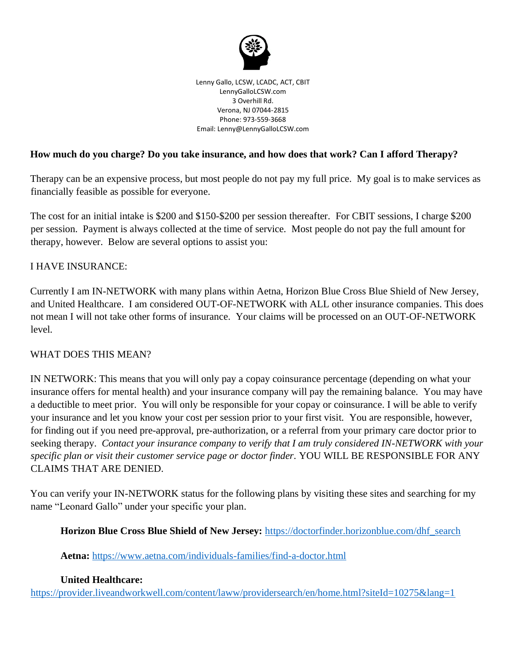

Lenny Gallo, LCSW, LCADC, ACT, CBIT LennyGalloLCSW.com 3 Overhill Rd. Verona, NJ 07044-2815 Phone: 973-559-3668 Email: Lenny@LennyGalloLCSW.com

### **How much do you charge? Do you take insurance, and how does that work? Can I afford Therapy?**

Therapy can be an expensive process, but most people do not pay my full price. My goal is to make services as financially feasible as possible for everyone.

The cost for an initial intake is \$200 and \$150-\$200 per session thereafter. For CBIT sessions, I charge \$200 per session. Payment is always collected at the time of service. Most people do not pay the full amount for therapy, however. Below are several options to assist you:

#### I HAVE INSURANCE:

Currently I am IN-NETWORK with many plans within Aetna, Horizon Blue Cross Blue Shield of New Jersey, and United Healthcare. I am considered OUT-OF-NETWORK with ALL other insurance companies. This does not mean I will not take other forms of insurance. Your claims will be processed on an OUT-OF-NETWORK level.

#### WHAT DOES THIS MEAN?

IN NETWORK: This means that you will only pay a copay coinsurance percentage (depending on what your insurance offers for mental health) and your insurance company will pay the remaining balance. You may have a deductible to meet prior. You will only be responsible for your copay or coinsurance. I will be able to verify your insurance and let you know your cost per session prior to your first visit. You are responsible, however, for finding out if you need pre-approval, pre-authorization, or a referral from your primary care doctor prior to seeking therapy. *Contact your insurance company to verify that I am truly considered IN-NETWORK with your specific plan or visit their customer service page or doctor finder.* YOU WILL BE RESPONSIBLE FOR ANY CLAIMS THAT ARE DENIED.

You can verify your IN-NETWORK status for the following plans by visiting these sites and searching for my name "Leonard Gallo" under your specific your plan.

**Horizon Blue Cross Blue Shield of New Jersey:** [https://doctorfinder.horizonblue.com/dhf\\_search](https://doctorfinder.horizonblue.com/dhf_search)

**Aetna:** <https://www.aetna.com/individuals-families/find-a-doctor.html>

#### **United Healthcare:**

<https://provider.liveandworkwell.com/content/laww/providersearch/en/home.html?siteId=10275&lang=1>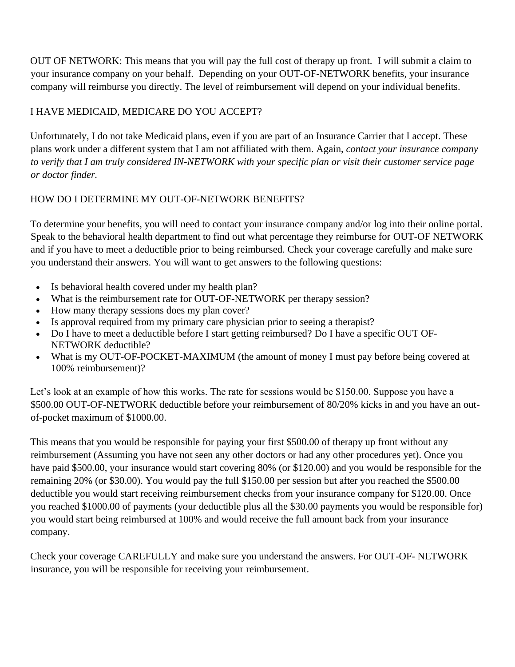OUT OF NETWORK: This means that you will pay the full cost of therapy up front. I will submit a claim to your insurance company on your behalf. Depending on your OUT-OF-NETWORK benefits, your insurance company will reimburse you directly. The level of reimbursement will depend on your individual benefits.

# I HAVE MEDICAID, MEDICARE DO YOU ACCEPT?

Unfortunately, I do not take Medicaid plans, even if you are part of an Insurance Carrier that I accept. These plans work under a different system that I am not affiliated with them. Again, *contact your insurance company to verify that I am truly considered IN-NETWORK with your specific plan or visit their customer service page or doctor finder.*

# HOW DO I DETERMINE MY OUT-OF-NETWORK BENEFITS?

To determine your benefits, you will need to contact your insurance company and/or log into their online portal. Speak to the behavioral health department to find out what percentage they reimburse for OUT-OF NETWORK and if you have to meet a deductible prior to being reimbursed. Check your coverage carefully and make sure you understand their answers. You will want to get answers to the following questions:

- Is behavioral health covered under my health plan?
- What is the reimbursement rate for OUT-OF-NETWORK per therapy session?
- How many therapy sessions does my plan cover?
- Is approval required from my primary care physician prior to seeing a therapist?
- Do I have to meet a deductible before I start getting reimbursed? Do I have a specific OUT OF-NETWORK deductible?
- What is my OUT-OF-POCKET-MAXIMUM (the amount of money I must pay before being covered at 100% reimbursement)?

Let's look at an example of how this works. The rate for sessions would be \$150.00. Suppose you have a \$500.00 OUT-OF-NETWORK deductible before your reimbursement of 80/20% kicks in and you have an outof-pocket maximum of \$1000.00.

This means that you would be responsible for paying your first \$500.00 of therapy up front without any reimbursement (Assuming you have not seen any other doctors or had any other procedures yet). Once you have paid \$500.00, your insurance would start covering 80% (or \$120.00) and you would be responsible for the remaining 20% (or \$30.00). You would pay the full \$150.00 per session but after you reached the \$500.00 deductible you would start receiving reimbursement checks from your insurance company for \$120.00. Once you reached \$1000.00 of payments (your deductible plus all the \$30.00 payments you would be responsible for) you would start being reimbursed at 100% and would receive the full amount back from your insurance company.

Check your coverage CAREFULLY and make sure you understand the answers. For OUT-OF- NETWORK insurance, you will be responsible for receiving your reimbursement.